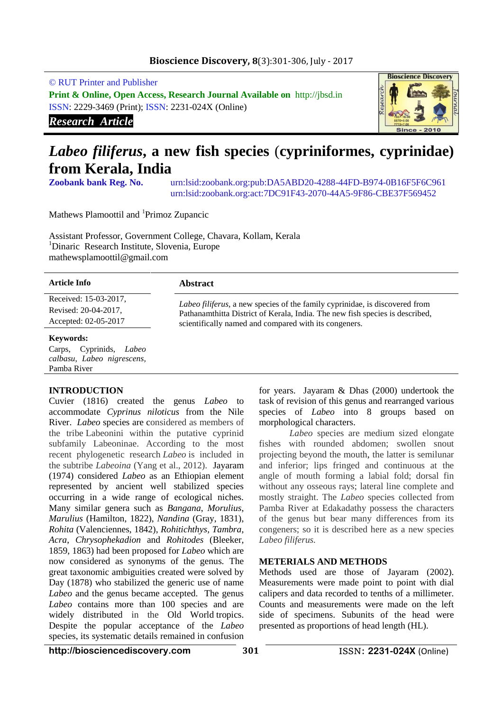## **Bioscience Discovery, 8**(3):301-306, July - 2017

© RUT Printer and Publisher

**Print & Online, Open Access, Research Journal Available on** http://jbsd.in ISSN: 2229-3469 (Print); ISSN: 2231-024X (Online)

*Research Article*



# *Labeo filiferus***, a new fish species** (**cypriniformes, cyprinidae) from Kerala, India**

**Zoobank bank Reg. No.** urn:lsid:zoobank.org:pub:DA5ABD20-4288-44FD-B974-0B16F5F6C961 urn:lsid:zoobank.org:act:7DC91F43-2070-44A5-9F86-CBE37F569452

Mathews Plamoottil and <sup>1</sup>Primoz Zupancic

Assistant Professor, Government College, Chavara, Kollam, Kerala <sup>1</sup>Dinaric Research Institute, Slovenia, Europe mathewsplamoottil@gmail.com

| <b>Article Info</b>        | <b>Abstract</b>                                                                                                                                                     |
|----------------------------|---------------------------------------------------------------------------------------------------------------------------------------------------------------------|
| Received: 15-03-2017,      |                                                                                                                                                                     |
| Revised: 20-04-2017,       | <i>Labeo filiferus</i> , a new species of the family cyprinidae, is discovered from<br>Pathanamthitta District of Kerala, India. The new fish species is described, |
| Accepted: 02-05-2017       | scientifically named and compared with its congeners.                                                                                                               |
| <b>Keywords:</b>           |                                                                                                                                                                     |
| Carps, Cyprinids,<br>Labeo |                                                                                                                                                                     |

## **INTRODUCTION**

Pamba River

*calbasu*, *Labeo nigrescens,* 

Cuvier (1816) created the genus *Labeo* to accommodate *Cyprinus niloticus* from the Nile River. *Labeo* species are considered as members of the tribe Labeonini within the putative cyprinid subfamily Labeoninae. According to the most recent phylogenetic research *Labeo* is included in the subtribe *Labeoina* (Yang et al., 2012). Jayaram (1974) considered *Labeo* as an Ethiopian element represented by ancient well stabilized species occurring in a wide range of ecological niches. Many similar genera such as *Bangana*, *Morulius*, *Marulius* (Hamilton, 1822), *Nandina* (Gray, 1831), *Rohita* (Valenciennes, 1842), *Rohitichthys, Tambra*, *Acra*, *Chrysophekadion* and *Rohitodes* (Bleeker, 1859, 1863) had been proposed for *Labeo* which are now considered as synonyms of the genus*.* The great taxonomic ambiguities created were solved by Day (1878) who stabilized the generic use of name *Labeo* and the genus became accepted. The genus *Labeo* contains more than 100 species and are widely distributed in the [Old World](https://en.wikipedia.org/wiki/Old_World) [tropics.](https://en.wikipedia.org/wiki/Tropics) Despite the popular acceptance of the *Labeo* species, its systematic details remained in confusion

for years. Jayaram & Dhas (2000) undertook the task of revision of this genus and rearranged various species of *Labeo* into 8 groups based on morphological characters.

*Labeo* species are medium sized elongate fishes with rounded abdomen; swollen snout projecting beyond the mouth, the latter is semilunar and inferior; lips fringed and continuous at the angle of mouth forming a labial fold; dorsal fin without any osseous rays; lateral line complete and mostly straight. The *Labeo* species collected from Pamba River at Edakadathy possess the characters of the genus but bear many differences from its congeners; so it is described here as a new species *Labeo filiferus.*

## **METERIALS AND METHODS**

Methods used are those of Jayaram (2002). Measurements were made point to point with dial calipers and data recorded to tenths of a millimeter. Counts and measurements were made on the left side of specimens. Subunits of the head were presented as proportions of head length (HL).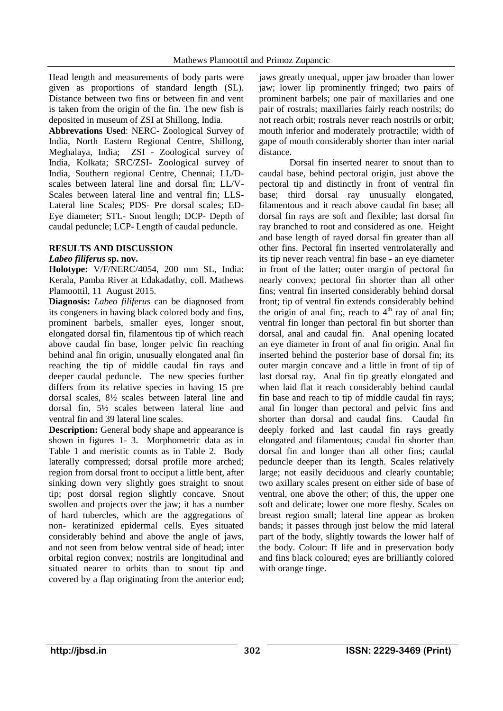Head length and measurements of body parts were given as proportions of standard length (SL). Distance between two fins or between fin and vent is taken from the origin of the fin. The new fish is deposited in museum of ZSI at Shillong, India.

**Abbrevations Used**: NERC- Zoological Survey of India, North Eastern Regional Centre, Shillong, Meghalaya, India; ZSI - Zoological survey of India, Kolkata; SRC/ZSI- Zoological survey of India, Southern regional Centre, Chennai; LL/Dscales between lateral line and dorsal fin; LL/V-Scales between lateral line and ventral fin; LLS-Lateral line Scales; PDS- Pre dorsal scales; ED-Eye diameter; STL- Snout length; DCP- Depth of caudal peduncle; LCP- Length of caudal peduncle.

# **RESULTS AND DISCUSSION**

## *Labeo filiferus* **sp. nov.**

**Holotype:** V/F/NERC/4054, 200 mm SL, India: Kerala, Pamba River at Edakadathy, coll. Mathews Plamoottil, 11 August 2015.

**Diagnosis:** *Labeo filiferus* can be diagnosed from its congeners in having black colored body and fins, prominent barbels, smaller eyes, longer snout, elongated dorsal fin, filamentous tip of which reach above caudal fin base, longer pelvic fin reaching behind anal fin origin, unusually elongated anal fin reaching the tip of middle caudal fin rays and deeper caudal peduncle. The new species further differs from its relative species in having 15 pre dorsal scales, 8½ scales between lateral line and dorsal fin, 5½ scales between lateral line and ventral fin and 39 lateral line scales.

**Description:** General body shape and appearance is shown in figures 1- 3. Morphometric data as in Table 1 and meristic counts as in Table 2. Body laterally compressed; dorsal profile more arched; region from dorsal front to occiput a little bent, after sinking down very slightly goes straight to snout tip; post dorsal region slightly concave. Snout swollen and projects over the jaw; it has a number of hard tubercles, which are the aggregations of non- keratinized epidermal cells. Eyes situated considerably behind and above the angle of jaws, and not seen from below ventral side of head; inter orbital region convex; nostrils are longitudinal and situated nearer to orbits than to snout tip and covered by a flap originating from the anterior end;

jaws greatly unequal, upper jaw broader than lower jaw; lower lip prominently fringed; two pairs of prominent barbels; one pair of maxillaries and one pair of rostrals; maxillaries fairly reach nostrils; do not reach orbit; rostrals never reach nostrils or orbit; mouth inferior and moderately protractile; width of gape of mouth considerably shorter than inter narial distance.

Dorsal fin inserted nearer to snout than to caudal base, behind pectoral origin, just above the pectoral tip and distinctly in front of ventral fin base; third dorsal ray unusually elongated, filamentous and it reach above caudal fin base; all dorsal fin rays are soft and flexible; last dorsal fin ray branched to root and considered as one. Height and base length of rayed dorsal fin greater than all other fins. Pectoral fin inserted ventrolaterally and its tip never reach ventral fin base - an eye diameter in front of the latter; outer margin of pectoral fin nearly convex; pectoral fin shorter than all other fins; ventral fin inserted considerably behind dorsal front; tip of ventral fin extends considerably behind the origin of anal fin;, reach to  $4<sup>th</sup>$  ray of anal fin; ventral fin longer than pectoral fin but shorter than dorsal, anal and caudal fin. Anal opening located an eye diameter in front of anal fin origin. Anal fin inserted behind the posterior base of dorsal fin; its outer margin concave and a little in front of tip of last dorsal ray. Anal fin tip greatly elongated and when laid flat it reach considerably behind caudal fin base and reach to tip of middle caudal fin rays; anal fin longer than pectoral and pelvic fins and shorter than dorsal and caudal fins. Caudal fin deeply forked and last caudal fin rays greatly elongated and filamentous; caudal fin shorter than dorsal fin and longer than all other fins; caudal peduncle deeper than its length. Scales relatively large; not easily deciduous and clearly countable; two axillary scales present on either side of base of ventral, one above the other; of this, the upper one soft and delicate; lower one more fleshy. Scales on breast region small; lateral line appear as broken bands; it passes through just below the mid lateral part of the body, slightly towards the lower half of the body. Colour: If life and in preservation body and fins black coloured; eyes are brilliantly colored with orange tinge.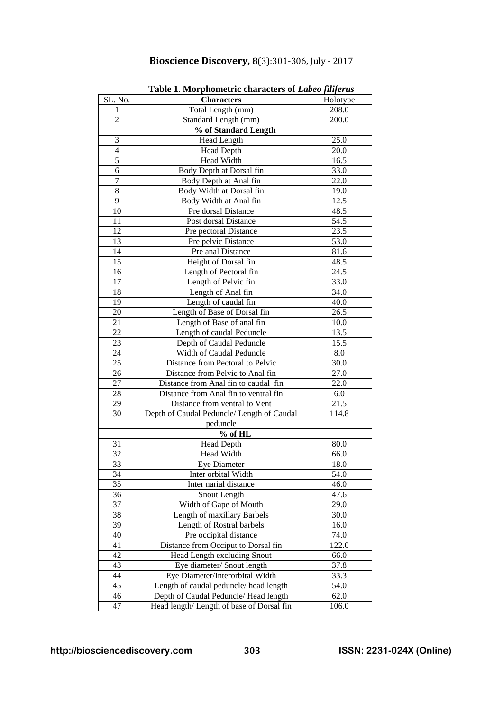|                      | radic 1. moi phonici ic characters of <i>Labeb Juljei as</i> |          |  |  |
|----------------------|--------------------------------------------------------------|----------|--|--|
| SL. No.              | <b>Characters</b>                                            | Holotype |  |  |
| 1                    | Total Length (mm)                                            | 208.0    |  |  |
| $\overline{2}$       | Standard Length (mm)                                         | 200.0    |  |  |
| % of Standard Length |                                                              |          |  |  |
| 3                    | Head Length                                                  | 25.0     |  |  |
| $\overline{4}$       | <b>Head Depth</b>                                            | 20.0     |  |  |
| 5                    | Head Width                                                   | 16.5     |  |  |
| 6                    | Body Depth at Dorsal fin                                     | 33.0     |  |  |
| $\overline{7}$       | Body Depth at Anal fin                                       | 22.0     |  |  |
| 8                    | Body Width at Dorsal fin                                     | 19.0     |  |  |
| 9                    | Body Width at Anal fin                                       | 12.5     |  |  |
| 10                   | Pre dorsal Distance                                          | 48.5     |  |  |
| 11                   | Post dorsal Distance                                         | 54.5     |  |  |
| 12                   | Pre pectoral Distance                                        | 23.5     |  |  |
| 13                   | Pre pelvic Distance                                          | 53.0     |  |  |
| 14                   | Pre anal Distance                                            | 81.6     |  |  |
| 15                   | Height of Dorsal fin                                         | 48.5     |  |  |
| 16                   | Length of Pectoral fin                                       | 24.5     |  |  |
| 17                   | Length of Pelvic fin                                         | 33.0     |  |  |
| 18                   | Length of Anal fin                                           | 34.0     |  |  |
| 19                   | Length of caudal fin                                         | 40.0     |  |  |
| 20                   | Length of Base of Dorsal fin                                 | 26.5     |  |  |
| 21                   | Length of Base of anal fin                                   | 10.0     |  |  |
| 22                   | Length of caudal Peduncle                                    | 13.5     |  |  |
| 23                   | Depth of Caudal Peduncle                                     | 15.5     |  |  |
| 24                   | Width of Caudal Peduncle                                     | 8.0      |  |  |
| 25                   | Distance from Pectoral to Pelvic                             | 30.0     |  |  |
| 26                   | Distance from Pelvic to Anal fin                             | 27.0     |  |  |
| $\overline{27}$      | Distance from Anal fin to caudal fin                         | 22.0     |  |  |
| 28                   | Distance from Anal fin to ventral fin                        | 6.0      |  |  |
| 29                   | Distance from ventral to Vent                                | 21.5     |  |  |
| 30                   | Depth of Caudal Peduncle/ Length of Caudal                   | 114.8    |  |  |
|                      | peduncle                                                     |          |  |  |
| $%$ of HL            |                                                              |          |  |  |
| 31                   | <b>Head Depth</b>                                            | 80.0     |  |  |
| 32                   | Head Width                                                   | 66.0     |  |  |
| 33                   | <b>Eye Diameter</b>                                          | 18.0     |  |  |
| 34                   | Inter orbital Width                                          | 54.0     |  |  |
| 35                   | Inter narial distance                                        | 46.0     |  |  |
| 36                   | Snout Length                                                 | 47.6     |  |  |
| 37                   | Width of Gape of Mouth                                       | 29.0     |  |  |
| 38                   | Length of maxillary Barbels                                  | 30.0     |  |  |
| 39                   | Length of Rostral barbels                                    | 16.0     |  |  |
| 40                   | Pre occipital distance                                       | 74.0     |  |  |
| 41                   | Distance from Occiput to Dorsal fin                          | 122.0    |  |  |
| 42                   | Head Length excluding Snout                                  | 66.0     |  |  |
| 43                   | Eye diameter/ Snout length                                   | 37.8     |  |  |
| 44                   | Eye Diameter/Interorbital Width                              | 33.3     |  |  |
| 45                   | Length of caudal peduncle/ head length                       | 54.0     |  |  |
| 46                   | Depth of Caudal Peduncle/ Head length                        | 62.0     |  |  |
| 47                   | Head length/ Length of base of Dorsal fin                    | 106.0    |  |  |

**Table 1. Morphometric characters of** *Labeo filiferus*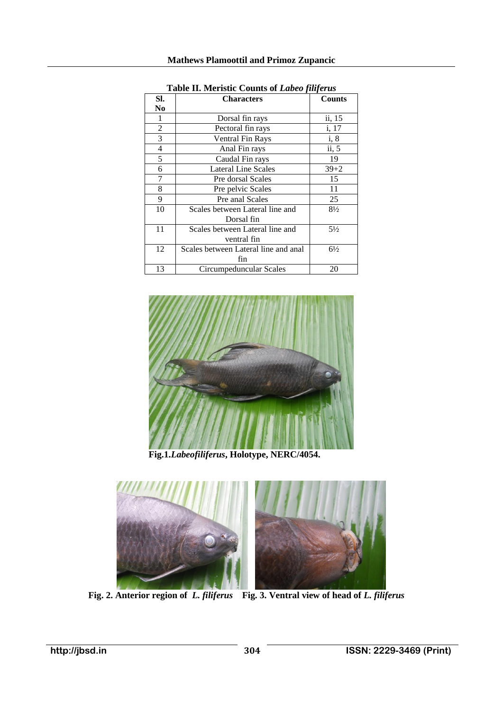| SI.            | <b>Characters</b>                    | <b>Counts</b>  |
|----------------|--------------------------------------|----------------|
| N <sub>0</sub> |                                      |                |
|                | Dorsal fin rays                      | ii, 15         |
| $\overline{2}$ | Pectoral fin rays                    | i, 17          |
| 3              | <b>Ventral Fin Rays</b>              | i, 8           |
| 4              | Anal Fin rays                        | ii, 5          |
| 5              | Caudal Fin rays                      | 19             |
| 6              | <b>Lateral Line Scales</b>           | $39 + 2$       |
| 7              | Pre dorsal Scales                    | 15             |
| 8              | Pre pelvic Scales                    | 11             |
| 9              | Pre anal Scales                      | 25             |
| 10             | Scales between Lateral line and      | $8\frac{1}{2}$ |
|                | Dorsal fin                           |                |
| 11             | Scales between Lateral line and      | $5\frac{1}{2}$ |
|                | ventral fin                          |                |
| 12             | Scales between Lateral line and anal | $6\frac{1}{2}$ |
|                | fin                                  |                |
| 13             | Circumpeduncular Scales              | 20             |

**Table II. Meristic Counts of** *Labeo filiferus*



 **Fig.1.***Labeofiliferus***, Holotype, NERC/4054.**



 **Fig. 2. Anterior region of** *L. filiferus* **Fig. 3. Ventral view of head of** *L. filiferus*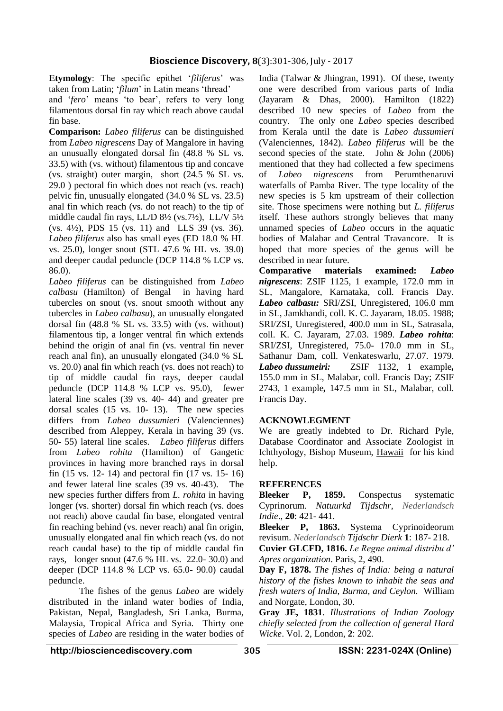**Etymology**: The specific epithet '*filiferus*' was taken from Latin; '*filum*' in Latin means 'thread' and '*fero*' means 'to bear', refers to very long filamentous dorsal fin ray which reach above caudal fin base.

**Comparison:** *Labeo filiferus* can be distinguished from *Labeo nigrescens* Day of Mangalore in having an unusually elongated dorsal fin (48.8 % SL vs. 33.5) with (vs. without) filamentous tip and concave (vs. straight) outer margin, short (24.5 % SL vs. 29.0 ) pectoral fin which does not reach (vs. reach) pelvic fin, unusually elongated (34.0 % SL vs. 23.5) anal fin which reach (vs. do not reach) to the tip of middle caudal fin rays, LL/D 8½ (vs.7½), LL/V 5½ (vs. 4½), PDS 15 (vs. 11) and LLS 39 (vs. 36). *Labeo filiferus* also has small eyes (ED 18.0 % HL vs. 25.0), longer snout (STL 47.6 % HL vs. 39.0) and deeper caudal peduncle (DCP 114.8 % LCP vs. 86.0).

*Labeo filiferus* can be distinguished from *Labeo calbasu* (Hamilton) of Bengalin having hard tubercles on snout (vs. snout smooth without any tubercles in *Labeo calbasu*), an unusually elongated dorsal fin (48.8 % SL vs. 33.5) with (vs. without) filamentous tip, a longer ventral fin which extends behind the origin of anal fin (vs. ventral fin never reach anal fin), an unusually elongated (34.0 % SL vs. 20.0) anal fin which reach (vs. does not reach) to tip of middle caudal fin rays, deeper caudal peduncle (DCP 114.8 % LCP vs. 95.0), fewer lateral line scales (39 vs. 40- 44) and greater pre dorsal scales (15 vs. 10- 13). The new species differs from *Labeo dussumieri* (Valenciennes) described from Aleppey, Kerala in having 39 (vs. 50- 55) lateral line scales. *Labeo filiferus* differs from *Labeo rohita* (Hamilton) of Gangetic provinces in having more branched rays in dorsal fin (15 vs. 12- 14) and pectoral fin (17 vs. 15- 16) and fewer lateral line scales (39 vs. 40-43). The new species further differs from *L. rohita* in having longer (vs. shorter) dorsal fin which reach (vs. does not reach) above caudal fin base, elongated ventral fin reaching behind (vs. never reach) anal fin origin, unusually elongated anal fin which reach (vs. do not reach caudal base) to the tip of middle caudal fin rays, longer snout (47.6 % HL vs. 22.0- 30.0) and deeper (DCP 114.8 % LCP vs. 65.0- 90.0) caudal peduncle.

The fishes of the genus *Labeo* are widely distributed in the inland water bodies of India, Pakistan, Nepal, Bangladesh, Sri Lanka, Burma, Malaysia, Tropical Africa and Syria. Thirty one species of *Labeo* are residing in the water bodies of

India (Talwar & Jhingran, 1991). Of these, twenty one were described from various parts of India (Jayaram & Dhas, 2000). Hamilton (1822) described 10 new species of *Labeo* from the country. The only one *Labeo* species described from Kerala until the date is *Labeo dussumieri*  (Valenciennes, 1842). *Labeo filiferus* will be the second species of the state. John & John (2006) mentioned that they had collected a few specimens of *Labeo nigrescens* from Perumthenaruvi waterfalls of Pamba River. The type locality of the new species is 5 km upstream of their collection site. Those specimens were nothing but *L. filiferus* itself. These authors strongly believes that many unnamed species of *Labeo* occurs in the aquatic bodies of Malabar and Central Travancore. It is hoped that more species of the genus will be described in near future.

**Comparative materials examined:** *Labeo nigrescens*: ZSIF 1125, 1 example, 172.0 mm in SL, Mangalore, Karnataka, coll. Francis Day. *Labeo calbasu:* SRI/ZSI, Unregistered, 106.0 mm in SL, Jamkhandi, coll. K. C. Jayaram, 18.05. 1988; SRI/ZSI, Unregistered, 400.0 mm in SL, Satrasala, coll. K. C. Jayaram, 27.03. 1989. *Labeo rohita*: SRI/ZSI, Unregistered, 75.0- 170.0 mm in SL, Sathanur Dam, coll. Venkateswarlu, 27.07. 1979. *Labeo dussumeiri:* ZSIF 1132, 1 example*,*  155.0 mm in SL, Malabar, coll. Francis Day; ZSIF 2743, 1 example*,* 147.5 mm in SL, Malabar, coll. Francis Day.

# **ACKNOWLEGMENT**

We are greatly indebted to Dr. Richard Pyle, Database Coordinator and Associate Zoologist in Ichthyology, Bishop Museum, [Hawaii](http://www.infoplease.com/ipa/A0108204.html) for his kind help.

## **REFERENCES**

**Bleeker P, 1859.** Conspectus systematic Cyprinorum. *Natuurkd Tijdschr, Nederlandsch Indie*., **20**: 421- 441.

**Bleeker P, 1863.** Systema Cyprinoideorum revisum. *Nederlandsch Tijdschr Dierk* **1**: 187- 218.

**Cuvier GLCFD, 1816.** *Le Regne animal distribu d' Apres organization*. Paris, 2, 490.

**Day F, 1878.** *The fishes of India: being a natural history of the fishes known to inhabit the seas and fresh waters of India, Burma, and Ceylon.* William and Norgate, London, 30.

**Gray JE, 1831**. *Illustrations of Indian Zoology chiefly selected from the collection of general Hard Wicke*. Vol. 2, London, **2**: 202.

**http://biosciencediscovery.com 305 ISSN: 2231-024X (Online)**